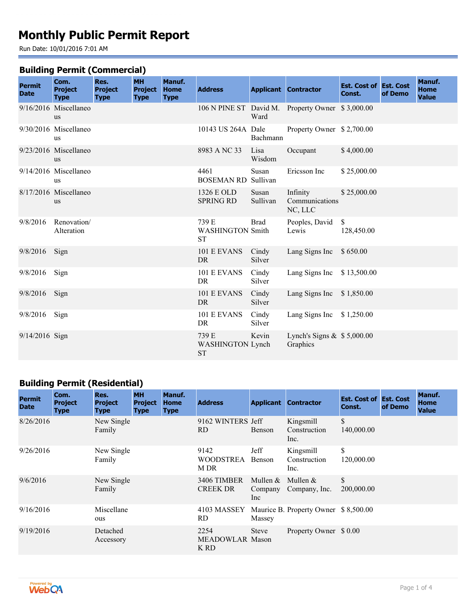# **Monthly Public Permit Report**

Run Date: 10/01/2016 7:01 AM

#### **Building Permit (Commercial)**

| <b>Permit</b><br><b>Date</b> | Com.<br><b>Project</b><br><b>Type</b> | Res.<br><b>Project</b><br><b>Type</b> | <b>MH</b><br><b>Project</b><br><b>Type</b> | Manuf.<br><b>Home</b><br><b>Type</b> | <b>Address</b>                                |                   | <b>Applicant Contractor</b>                      | <b>Est. Cost of Est. Cost</b><br>Const. | of Demo | Manuf.<br><b>Home</b><br><b>Value</b> |
|------------------------------|---------------------------------------|---------------------------------------|--------------------------------------------|--------------------------------------|-----------------------------------------------|-------------------|--------------------------------------------------|-----------------------------------------|---------|---------------------------------------|
|                              | 9/16/2016 Miscellaneo<br><b>us</b>    |                                       |                                            |                                      |                                               | Ward              | 106 N PINE ST David M. Property Owner \$3,000.00 |                                         |         |                                       |
|                              | 9/30/2016 Miscellaneo<br>us           |                                       |                                            |                                      | 10143 US 264A Dale                            | Bachmann          | Property Owner \$2,700.00                        |                                         |         |                                       |
|                              | 9/23/2016 Miscellaneo<br><b>us</b>    |                                       |                                            |                                      | 8983 A NC 33                                  | Lisa<br>Wisdom    | Occupant                                         | \$4,000.00                              |         |                                       |
|                              | 9/14/2016 Miscellaneo<br>us           |                                       |                                            |                                      | 4461<br><b>BOSEMAN RD</b>                     | Susan<br>Sullivan | Ericsson Inc                                     | \$25,000.00                             |         |                                       |
|                              | 8/17/2016 Miscellaneo<br><b>us</b>    |                                       |                                            |                                      | 1326 E OLD<br><b>SPRING RD</b>                | Susan<br>Sullivan | Infinity<br>Communications<br>NC, LLC            | \$25,000.00                             |         |                                       |
| 9/8/2016                     | Renovation/<br>Alteration             |                                       |                                            |                                      | 739 E<br><b>WASHINGTON Smith</b><br><b>ST</b> | <b>Brad</b>       | Peoples, David<br>Lewis                          | $\mathcal{S}$<br>128,450.00             |         |                                       |
| 9/8/2016                     | Sign                                  |                                       |                                            |                                      | 101 E EVANS<br><b>DR</b>                      | Cindy<br>Silver   | Lang Signs Inc                                   | \$650.00                                |         |                                       |
| 9/8/2016                     | Sign                                  |                                       |                                            |                                      | 101 E EVANS<br><b>DR</b>                      | Cindy<br>Silver   | Lang Signs Inc                                   | \$13,500.00                             |         |                                       |
| 9/8/2016                     | Sign                                  |                                       |                                            |                                      | 101 E EVANS<br>DR.                            | Cindy<br>Silver   | Lang Signs Inc                                   | \$1,850.00                              |         |                                       |
| $9/8/2016$ Sign              |                                       |                                       |                                            |                                      | 101 E EVANS<br>DR                             | Cindy<br>Silver   | Lang Signs Inc $$1,250.00$                       |                                         |         |                                       |
| 9/14/2016 Sign               |                                       |                                       |                                            |                                      | 739 E<br><b>WASHINGTON Lynch</b><br><b>ST</b> | Kevin             | Lynch's Signs $\&$ \$ 5,000.00<br>Graphics       |                                         |         |                                       |

## **Building Permit (Residential)**

| <b>Permit</b><br><b>Date</b> | Com.<br><b>Project</b><br><b>Type</b> | Res.<br><b>Project</b><br><b>Type</b> | <b>MH</b><br><b>Project</b><br><b>Type</b> | Manuf.<br><b>Home</b><br><b>Type</b> | <b>Address</b>                         |                              | <b>Applicant Contractor</b>       | <b>Est. Cost of Est. Cost</b><br>Const. | of Demo | Manuf.<br>Home<br><b>Value</b> |
|------------------------------|---------------------------------------|---------------------------------------|--------------------------------------------|--------------------------------------|----------------------------------------|------------------------------|-----------------------------------|-----------------------------------------|---------|--------------------------------|
| 8/26/2016                    |                                       | New Single<br>Family                  |                                            |                                      | 9162 WINTERS Jeff<br>RD.               | Benson                       | Kingsmill<br>Construction<br>Inc. | \$<br>140,000.00                        |         |                                |
| 9/26/2016                    |                                       | New Single<br>Family                  |                                            |                                      | 9142<br>WOODSTREA<br>M DR              | Jeff<br>Benson               | Kingsmill<br>Construction<br>Inc. | \$<br>120,000.00                        |         |                                |
| 9/6/2016                     |                                       | New Single<br>Family                  |                                            |                                      | 3406 TIMBER<br><b>CREEK DR</b>         | Mullen $&$<br>Company<br>Inc | Mullen $&$<br>Company, Inc.       | $\mathbb{S}$<br>200,000.00              |         |                                |
| 9/16/2016                    |                                       | Miscellane<br>ous                     |                                            |                                      | 4103 MASSEY<br>RD.                     | Massey                       | Maurice B. Property Owner         | \$8,500.00                              |         |                                |
| 9/19/2016                    |                                       | Detached<br>Accessory                 |                                            |                                      | 2254<br><b>MEADOWLAR Mason</b><br>K RD | Steve                        | Property Owner \$ 0.00            |                                         |         |                                |

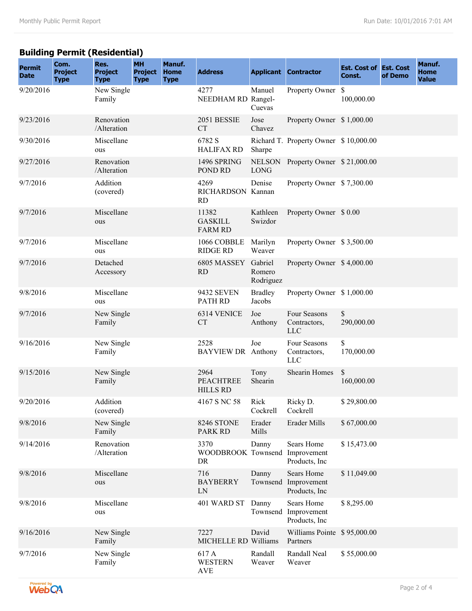## **Building Permit (Residential)**

| <b>Permit</b><br><b>Date</b> | Com.<br><b>Project</b><br><b>Type</b> | Res.<br><b>Project</b><br><b>Type</b> | <b>MH</b><br><b>Project</b><br><b>Type</b> | Manuf.<br><b>Home</b><br><b>Type</b> | <b>Address</b>                              |                                | <b>Applicant Contractor</b>                 | <b>Est. Cost of Est. Cost</b><br>Const. | of Demo | Manuf.<br><b>Home</b><br><b>Value</b> |
|------------------------------|---------------------------------------|---------------------------------------|--------------------------------------------|--------------------------------------|---------------------------------------------|--------------------------------|---------------------------------------------|-----------------------------------------|---------|---------------------------------------|
| 9/20/2016                    |                                       | New Single<br>Family                  |                                            |                                      | 4277<br>NEEDHAM RD Rangel-                  | Manuel<br>Cuevas               | Property Owner \$                           | 100,000.00                              |         |                                       |
| 9/23/2016                    |                                       | Renovation<br>/Alteration             |                                            |                                      | 2051 BESSIE<br><b>CT</b>                    | Jose<br>Chavez                 | Property Owner \$1,000.00                   |                                         |         |                                       |
| 9/30/2016                    |                                       | Miscellane<br>ous                     |                                            |                                      | 6782 S<br><b>HALIFAX RD</b>                 | Sharpe                         | Richard T. Property Owner \$10,000.00       |                                         |         |                                       |
| 9/27/2016                    |                                       | Renovation<br>/Alteration             |                                            |                                      | 1496 SPRING<br>POND RD                      | <b>LONG</b>                    | NELSON Property Owner \$21,000.00           |                                         |         |                                       |
| 9/7/2016                     |                                       | Addition<br>(covered)                 |                                            |                                      | 4269<br>RICHARDSON Kannan<br><b>RD</b>      | Denise                         | Property Owner \$7,300.00                   |                                         |         |                                       |
| 9/7/2016                     |                                       | Miscellane<br>ous                     |                                            |                                      | 11382<br><b>GASKILL</b><br><b>FARM RD</b>   | Kathleen<br>Swizdor            | Property Owner \$ 0.00                      |                                         |         |                                       |
| 9/7/2016                     |                                       | Miscellane<br>ous                     |                                            |                                      | 1066 COBBLE<br><b>RIDGE RD</b>              | Marilyn<br>Weaver              | Property Owner \$3,500.00                   |                                         |         |                                       |
| 9/7/2016                     |                                       | Detached<br>Accessory                 |                                            |                                      | 6805 MASSEY<br><b>RD</b>                    | Gabriel<br>Romero<br>Rodriguez | Property Owner \$4,000.00                   |                                         |         |                                       |
| 9/8/2016                     |                                       | Miscellane<br>ous                     |                                            |                                      | <b>9432 SEVEN</b><br>PATH RD                | <b>Bradley</b><br>Jacobs       | Property Owner \$1,000.00                   |                                         |         |                                       |
| 9/7/2016                     |                                       | New Single<br>Family                  |                                            |                                      | 6314 VENICE<br><b>CT</b>                    | Joe<br>Anthony                 | Four Seasons<br>Contractors,<br><b>LLC</b>  | \$<br>290,000.00                        |         |                                       |
| 9/16/2016                    |                                       | New Single<br>Family                  |                                            |                                      | 2528<br><b>BAYVIEW DR</b> Anthony           | Joe                            | Four Seasons<br>Contractors,<br><b>LLC</b>  | \$<br>170,000.00                        |         |                                       |
| 9/15/2016                    |                                       | New Single<br>Family                  |                                            |                                      | 2964<br><b>PEACHTREE</b><br><b>HILLS RD</b> | Tony<br>Shearin                | Shearin Homes                               | \$<br>160,000.00                        |         |                                       |
| 9/20/2016                    |                                       | Addition<br>(covered)                 |                                            |                                      | 4167 S NC 58                                | Rick<br>Cockrell               | Ricky D.<br>Cockrell                        | \$29,800.00                             |         |                                       |
| 9/8/2016                     |                                       | New Single<br>Family                  |                                            |                                      | 8246 STONE<br><b>PARK RD</b>                | Erader<br>Mills                | Erader Mills                                | \$67,000.00                             |         |                                       |
| 9/14/2016                    |                                       | Renovation<br>/Alteration             |                                            |                                      | 3370<br>WOODBROOK Townsend<br>DR            | Danny                          | Sears Home<br>Improvement<br>Products, Inc. | \$15,473.00                             |         |                                       |
| 9/8/2016                     |                                       | Miscellane<br>ous                     |                                            |                                      | 716<br><b>BAYBERRY</b><br>LN                | Danny<br>Townsend              | Sears Home<br>Improvement<br>Products, Inc  | \$11,049.00                             |         |                                       |
| 9/8/2016                     |                                       | Miscellane<br>ous                     |                                            |                                      | 401 WARD ST                                 | Danny<br>Townsend              | Sears Home<br>Improvement<br>Products, Inc. | \$8,295.00                              |         |                                       |
| 9/16/2016                    |                                       | New Single<br>Family                  |                                            |                                      | 7227<br>MICHELLE RD Williams                | David                          | Williams Pointe \$95,000.00<br>Partners     |                                         |         |                                       |
| 9/7/2016                     |                                       | New Single<br>Family                  |                                            |                                      | 617 A<br><b>WESTERN</b><br><b>AVE</b>       | Randall<br>Weaver              | Randall Neal<br>Weaver                      | \$55,000.00                             |         |                                       |

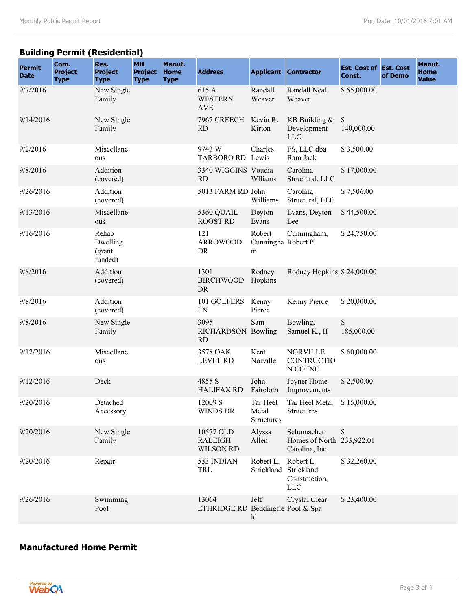### **Building Permit (Residential)**

| <b>Permit</b><br><b>Date</b> | Com.<br><b>Project</b><br><b>Type</b> | Res.<br><b>Project</b><br><b>Type</b>  | <b>MH</b><br><b>Project</b><br><b>Type</b> | Manuf.<br><b>Home</b><br><b>Type</b> | <b>Address</b>                                  |                                        | <b>Applicant Contractor</b>                               | <b>Est. Cost of Est. Cost</b><br>Const. | of Demo | Manuf.<br><b>Home</b><br><b>Value</b> |
|------------------------------|---------------------------------------|----------------------------------------|--------------------------------------------|--------------------------------------|-------------------------------------------------|----------------------------------------|-----------------------------------------------------------|-----------------------------------------|---------|---------------------------------------|
| 9/7/2016                     |                                       | New Single<br>Family                   |                                            |                                      | 615 A<br><b>WESTERN</b><br><b>AVE</b>           | Randall<br>Weaver                      | Randall Neal<br>Weaver                                    | \$55,000.00                             |         |                                       |
| 9/14/2016                    |                                       | New Single<br>Family                   |                                            |                                      | 7967 CREECH<br><b>RD</b>                        | Kevin R.<br>Kirton                     | KB Building $&$<br>Development<br><b>LLC</b>              | \$<br>140,000.00                        |         |                                       |
| 9/2/2016                     |                                       | Miscellane<br>ous                      |                                            |                                      | 9743 W<br>TARBORO RD Lewis                      | Charles                                | FS, LLC dba<br>Ram Jack                                   | \$3,500.00                              |         |                                       |
| 9/8/2016                     |                                       | Addition<br>(covered)                  |                                            |                                      | 3340 WIGGINS Voudia<br><b>RD</b>                | Wlliams                                | Carolina<br>Structural, LLC                               | \$17,000.00                             |         |                                       |
| 9/26/2016                    |                                       | Addition<br>(covered)                  |                                            |                                      | 5013 FARM RD John                               | Williams                               | Carolina<br>Structural, LLC                               | \$7,506.00                              |         |                                       |
| 9/13/2016                    |                                       | Miscellane<br>ous                      |                                            |                                      | 5360 QUAIL<br><b>ROOST RD</b>                   | Deyton<br>Evans                        | Evans, Deyton<br>Lee                                      | \$44,500.00                             |         |                                       |
| 9/16/2016                    |                                       | Rehab<br>Dwelling<br>(grant<br>funded) |                                            |                                      | 121<br><b>ARROWOOD</b><br>DR                    | Robert<br>Cunningha Robert P.<br>m     | Cunningham,                                               | \$24,750.00                             |         |                                       |
| 9/8/2016                     |                                       | Addition<br>(covered)                  |                                            |                                      | 1301<br><b>BIRCHWOOD</b><br><b>DR</b>           | Rodney<br>Hopkins                      | Rodney Hopkins \$24,000.00                                |                                         |         |                                       |
| 9/8/2016                     |                                       | Addition<br>(covered)                  |                                            |                                      | 101 GOLFERS<br>LN                               | Kenny<br>Pierce                        | Kenny Pierce                                              | \$20,000.00                             |         |                                       |
| 9/8/2016                     |                                       | New Single<br>Family                   |                                            |                                      | 3095<br>RICHARDSON Bowling<br>RD                | Sam                                    | Bowling,<br>Samuel K., II                                 | \$<br>185,000.00                        |         |                                       |
| 9/12/2016                    |                                       | Miscellane<br>ous                      |                                            |                                      | 3578 OAK<br><b>LEVEL RD</b>                     | Kent<br>Norville                       | <b>NORVILLE</b><br><b>CONTRUCTIO</b><br>N CO INC          | \$60,000.00                             |         |                                       |
| 9/12/2016                    |                                       | Deck                                   |                                            |                                      | 4855 S<br><b>HALIFAX RD</b>                     | John<br>Faircloth                      | Joyner Home<br>Improvements                               | \$2,500.00                              |         |                                       |
| 9/20/2016                    |                                       | Detached<br>Accessory                  |                                            |                                      | 12009 S<br><b>WINDS DR</b>                      | Tar Heel<br>Metal<br><b>Structures</b> | Tar Heel Metal<br>Structures                              | \$15,000.00                             |         |                                       |
| 9/20/2016                    |                                       | New Single<br>Family                   |                                            |                                      | 10577 OLD<br><b>RALEIGH</b><br><b>WILSON RD</b> | Alyssa<br>Allen                        | Schumacher<br>Homes of North 233,922.01<br>Carolina, Inc. | \$                                      |         |                                       |
| 9/20/2016                    |                                       | Repair                                 |                                            |                                      | 533 INDIAN<br>TRL                               | Robert L.<br>Strickland                | Robert L.<br>Strickland<br>Construction,<br><b>LLC</b>    | \$32,260.00                             |         |                                       |
| 9/26/2016                    |                                       | Swimming<br>Pool                       |                                            |                                      | 13064<br>ETHRIDGE RD Beddingfie Pool & Spa      | Jeff<br>ld                             | Crystal Clear                                             | \$23,400.00                             |         |                                       |

### **Manufactured Home Permit**